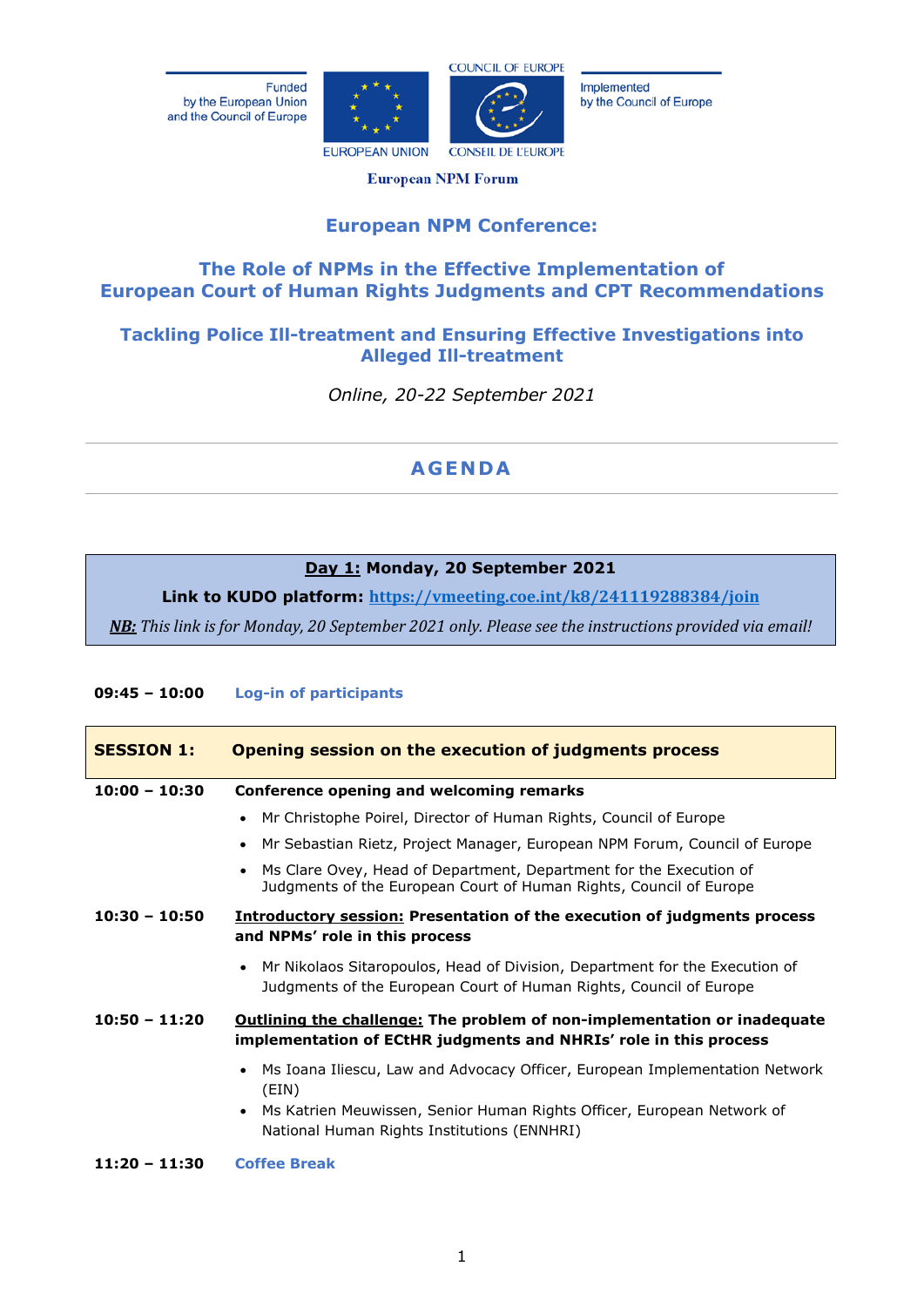Funded by the European Union and the Council of Europe





Implemented by the Council of Europe

**European NPM Forum** 

# **European NPM Conference:**

# **The Role of NPMs in the Effective Implementation of European Court of Human Rights Judgments and CPT Recommendations**

# **Tackling Police Ill-treatment and Ensuring Effective Investigations into Alleged Ill-treatment**

*Online, 20-22 September 2021*

# **AGENDA**

## **Day 1: Monday, 20 September 2021**

**Link to KUDO platform: <https://vmeeting.coe.int/k8/241119288384/join>**

*NB: This link is for Monday, 20 September 2021 only. Please see the instructions provided via email!*

## **09:45 – 10:00 Log-in of participants**

| <b>SESSION 1:</b> | Opening session on the execution of judgments process                                                                                                                                                                                   |
|-------------------|-----------------------------------------------------------------------------------------------------------------------------------------------------------------------------------------------------------------------------------------|
| $10:00 - 10:30$   | <b>Conference opening and welcoming remarks</b>                                                                                                                                                                                         |
|                   | Mr Christophe Poirel, Director of Human Rights, Council of Europe<br>$\bullet$                                                                                                                                                          |
|                   | Mr Sebastian Rietz, Project Manager, European NPM Forum, Council of Europe<br>$\bullet$                                                                                                                                                 |
|                   | Ms Clare Ovey, Head of Department, Department for the Execution of<br>$\bullet$<br>Judgments of the European Court of Human Rights, Council of Europe                                                                                   |
| $10:30 - 10:50$   | <b>Introductory session: Presentation of the execution of judgments process</b><br>and NPMs' role in this process                                                                                                                       |
|                   | Mr Nikolaos Sitaropoulos, Head of Division, Department for the Execution of<br>$\bullet$<br>Judgments of the European Court of Human Rights, Council of Europe                                                                          |
| $10:50 - 11:20$   | <b>Outlining the challenge: The problem of non-implementation or inadequate</b><br>implementation of ECtHR judgments and NHRIs' role in this process                                                                                    |
|                   | Ms Ioana Iliescu, Law and Advocacy Officer, European Implementation Network<br>$\bullet$<br>(EIN)<br>Ms Katrien Meuwissen, Senior Human Rights Officer, European Network of<br>$\bullet$<br>National Human Rights Institutions (ENNHRI) |
| $11:20 - 11:30$   | <b>Coffee Break</b>                                                                                                                                                                                                                     |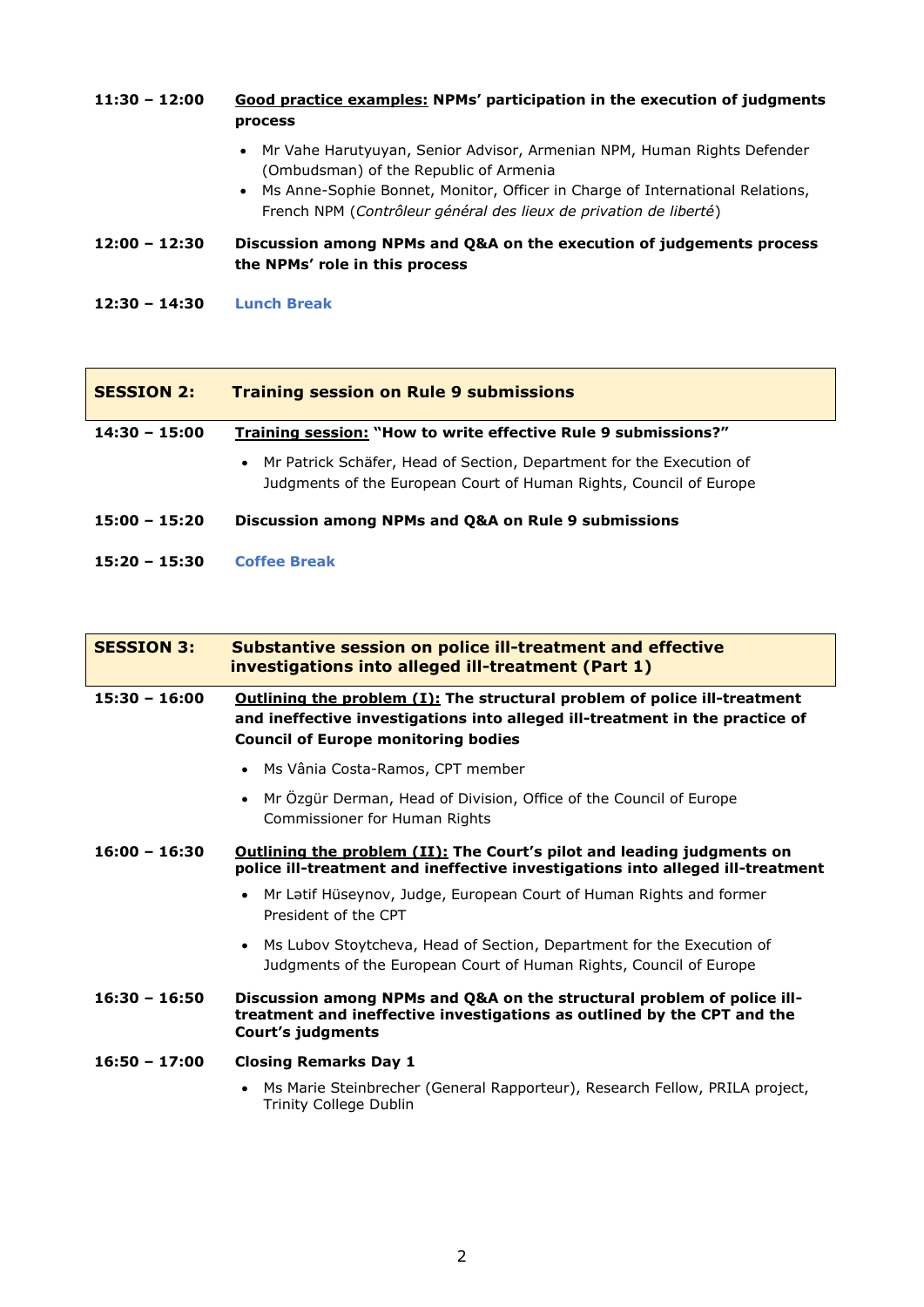### **11:30 – 12:00 Good practice examples: NPMs' participation in the execution of judgments process**

- Mr Vahe Harutyuyan, Senior Advisor, Armenian NPM, Human Rights Defender (Ombudsman) of the Republic of Armenia
- Ms Anne-Sophie Bonnet, Monitor, Officer in Charge of International Relations, French NPM (*Contrôleur général des lieux de privation de liberté*)

#### **12:00 – 12:30 Discussion among NPMs and Q&A on the execution of judgements process the NPMs' role in this process**

**12:30 – 14:30 Lunch Break**

| <b>SESSION 2:</b> | <b>Training session on Rule 9 submissions</b>                                                                                                |  |
|-------------------|----------------------------------------------------------------------------------------------------------------------------------------------|--|
| $14:30 - 15:00$   | <b>Training session: "How to write effective Rule 9 submissions?"</b>                                                                        |  |
|                   | • Mr Patrick Schäfer, Head of Section, Department for the Execution of<br>Judgments of the European Court of Human Rights, Council of Europe |  |
| $15:00 - 15:20$   | Discussion among NPMs and Q&A on Rule 9 submissions                                                                                          |  |
| $15:20 - 15:30$   | <b>Coffee Break</b>                                                                                                                          |  |

| <b>SESSION 3:</b> | <b>Substantive session on police ill-treatment and effective</b><br>investigations into alleged ill-treatment (Part 1)                                                                                         |  |
|-------------------|----------------------------------------------------------------------------------------------------------------------------------------------------------------------------------------------------------------|--|
| $15:30 - 16:00$   | <b>Outlining the problem (I): The structural problem of police ill-treatment</b><br>and ineffective investigations into alleged ill-treatment in the practice of<br><b>Council of Europe monitoring bodies</b> |  |
|                   | • Ms Vânia Costa-Ramos, CPT member                                                                                                                                                                             |  |
|                   | Mr Özgür Derman, Head of Division, Office of the Council of Europe<br>Commissioner for Human Rights                                                                                                            |  |
| $16:00 - 16:30$   | <b>Outlining the problem (II): The Court's pilot and leading judgments on</b><br>police ill-treatment and ineffective investigations into alleged ill-treatment                                                |  |
|                   | Mr Latif Hüseynov, Judge, European Court of Human Rights and former<br>President of the CPT                                                                                                                    |  |
|                   | • Ms Lubov Stoytcheva, Head of Section, Department for the Execution of<br>Judgments of the European Court of Human Rights, Council of Europe                                                                  |  |
| $16:30 - 16:50$   | Discussion among NPMs and Q&A on the structural problem of police ill-<br>treatment and ineffective investigations as outlined by the CPT and the<br>Court's judgments                                         |  |
| $16:50 - 17:00$   | <b>Closing Remarks Day 1</b>                                                                                                                                                                                   |  |
|                   | Ms Marie Steinbrecher (General Rapporteur), Research Fellow, PRILA project,<br>$\bullet$                                                                                                                       |  |

Trinity College Dublin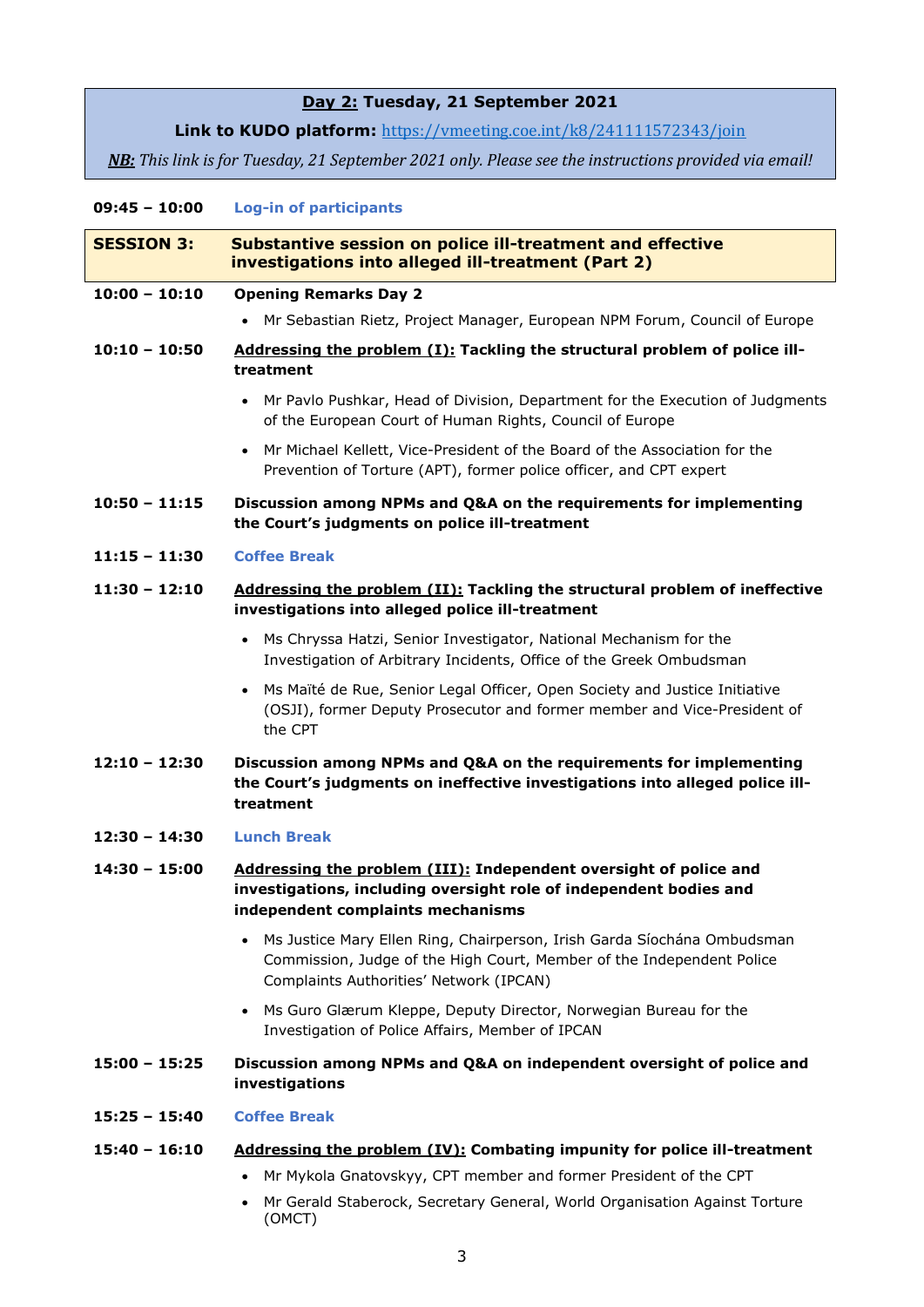# **Day 2: Tuesday, 21 September 2021**

Link to KUDO platform: <https://vmeeting.coe.int/k8/241111572343/join>

*NB: This link is for Tuesday, 21 September 2021 only. Please see the instructions provided via email!*

## **09:45 – 10:00 Log-in of participants**

| <b>SESSION 3:</b> | <b>Substantive session on police ill-treatment and effective</b><br>investigations into alleged ill-treatment (Part 2)                                                                                                                                         |
|-------------------|----------------------------------------------------------------------------------------------------------------------------------------------------------------------------------------------------------------------------------------------------------------|
| $10:00 - 10:10$   | <b>Opening Remarks Day 2</b>                                                                                                                                                                                                                                   |
|                   | Mr Sebastian Rietz, Project Manager, European NPM Forum, Council of Europe                                                                                                                                                                                     |
| $10:10 - 10:50$   | Addressing the problem (I): Tackling the structural problem of police ill-<br>treatment                                                                                                                                                                        |
|                   | Mr Pavlo Pushkar, Head of Division, Department for the Execution of Judgments<br>$\bullet$<br>of the European Court of Human Rights, Council of Europe                                                                                                         |
|                   | • Mr Michael Kellett, Vice-President of the Board of the Association for the<br>Prevention of Torture (APT), former police officer, and CPT expert                                                                                                             |
| $10:50 - 11:15$   | Discussion among NPMs and Q&A on the requirements for implementing<br>the Court's judgments on police ill-treatment                                                                                                                                            |
| $11:15 - 11:30$   | <b>Coffee Break</b>                                                                                                                                                                                                                                            |
| $11:30 - 12:10$   | Addressing the problem (II): Tackling the structural problem of ineffective<br>investigations into alleged police ill-treatment                                                                                                                                |
|                   | Ms Chryssa Hatzi, Senior Investigator, National Mechanism for the<br>$\bullet$<br>Investigation of Arbitrary Incidents, Office of the Greek Ombudsman                                                                                                          |
|                   | Ms Maïté de Rue, Senior Legal Officer, Open Society and Justice Initiative<br>$\bullet$<br>(OSJI), former Deputy Prosecutor and former member and Vice-President of<br>the CPT                                                                                 |
| $12:10 - 12:30$   | Discussion among NPMs and Q&A on the requirements for implementing<br>the Court's judgments on ineffective investigations into alleged police ill-<br>treatment                                                                                                |
| $12:30 - 14:30$   | <b>Lunch Break</b>                                                                                                                                                                                                                                             |
| 14:30 - 15:00     | Addressing the problem (III): Independent oversight of police and<br>investigations, including oversight role of independent bodies and<br>independent complaints mechanisms                                                                                   |
|                   | Ms Justice Mary Ellen Ring, Chairperson, Irish Garda Síochána Ombudsman<br>$\bullet$<br>Commission, Judge of the High Court, Member of the Independent Police<br>Complaints Authorities' Network (IPCAN)                                                       |
|                   | Ms Guro Glærum Kleppe, Deputy Director, Norwegian Bureau for the<br>$\bullet$<br>Investigation of Police Affairs, Member of IPCAN                                                                                                                              |
| $15:00 - 15:25$   | Discussion among NPMs and Q&A on independent oversight of police and<br>investigations                                                                                                                                                                         |
| $15:25 - 15:40$   | <b>Coffee Break</b>                                                                                                                                                                                                                                            |
| $15:40 - 16:10$   | Addressing the problem (IV): Combating impunity for police ill-treatment<br>Mr Mykola Gnatovskyy, CPT member and former President of the CPT<br>$\bullet$<br>Mr Gerald Staberock, Secretary General, World Organisation Against Torture<br>$\bullet$<br>(OMCT) |